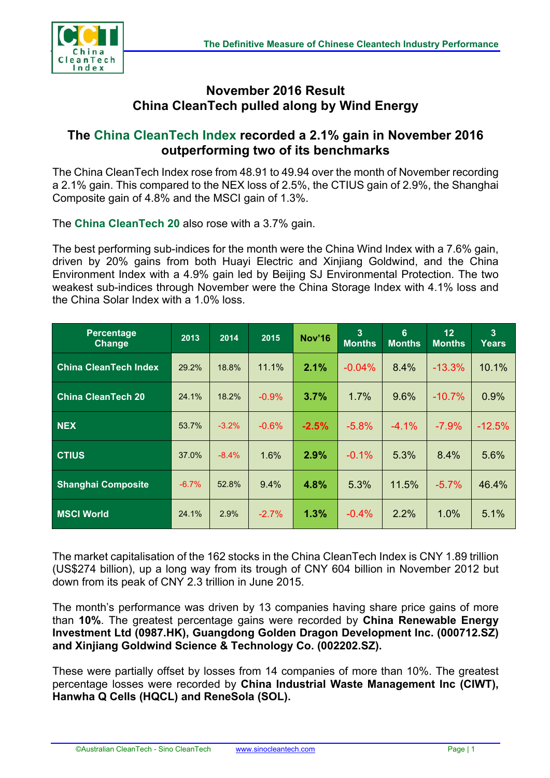

## **November 2016 Result China CleanTech pulled along by Wind Energy**

## **The China CleanTech Index recorded a 2.1% gain in November 2016 outperforming two of its benchmarks**

The China CleanTech Index rose from 48.91 to 49.94 over the month of November recording a 2.1% gain. This compared to the NEX loss of 2.5%, the CTIUS gain of 2.9%, the Shanghai Composite gain of 4.8% and the MSCI gain of 1.3%.

The **China CleanTech 20** also rose with a 3.7% gain.

The best performing sub-indices for the month were the China Wind Index with a 7.6% gain, driven by 20% gains from both Huayi Electric and Xinjiang Goldwind, and the China Environment Index with a 4.9% gain led by Beijing SJ Environmental Protection. The two weakest sub-indices through November were the China Storage Index with 4.1% loss and the China Solar Index with a 1.0% loss.

| <b>Percentage</b><br>Change  | 2013    | 2014    | 2015     | <b>Nov'16</b> | 3<br><b>Months</b> | 6<br><b>Months</b> | 12<br><b>Months</b> | 3<br><b>Years</b> |
|------------------------------|---------|---------|----------|---------------|--------------------|--------------------|---------------------|-------------------|
| <b>China CleanTech Index</b> | 29.2%   | 18.8%   | 11.1%    | 2.1%          | $-0.04%$           | 8.4%               | $-13.3%$            | 10.1%             |
| <b>China CleanTech 20</b>    | 24.1%   | 18.2%   | $-0.9%$  | 3.7%          | 1.7%               | 9.6%               | $-10.7%$            | 0.9%              |
| <b>NEX</b>                   | 53.7%   | $-3.2%$ | $-0.6\%$ | $-2.5%$       | $-5.8%$            | $-4.1%$            | $-7.9%$             | $-12.5%$          |
| <b>CTIUS</b>                 | 37.0%   | $-8.4%$ | 1.6%     | 2.9%          | $-0.1%$            | 5.3%               | 8.4%                | 5.6%              |
| <b>Shanghai Composite</b>    | $-6.7%$ | 52.8%   | 9.4%     | 4.8%          | 5.3%               | 11.5%              | $-5.7%$             | 46.4%             |
| <b>MSCI World</b>            | 24.1%   | 2.9%    | $-2.7\%$ | 1.3%          | $-0.4%$            | 2.2%               | 1.0%                | 5.1%              |

The market capitalisation of the 162 stocks in the China CleanTech Index is CNY 1.89 trillion (US\$274 billion), up a long way from its trough of CNY 604 billion in November 2012 but down from its peak of CNY 2.3 trillion in June 2015.

The month's performance was driven by 13 companies having share price gains of more than **10%**. The greatest percentage gains were recorded by **China Renewable Energy Investment Ltd (0987.HK), Guangdong Golden Dragon Development Inc. (000712.SZ) and Xinjiang Goldwind Science & Technology Co. (002202.SZ).**

These were partially offset by losses from 14 companies of more than 10%. The greatest percentage losses were recorded by **China Industrial Waste Management Inc (CIWT), Hanwha Q Cells (HQCL) and ReneSola (SOL).**